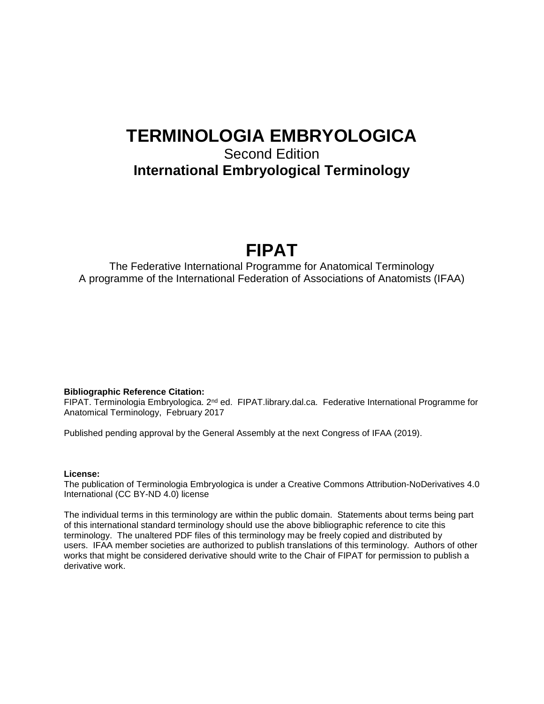# **TERMINOLOGIA EMBRYOLOGICA**

## Second Edition **International Embryological Terminology**

# **FIPAT**

The Federative International Programme for Anatomical Terminology A programme of the International Federation of Associations of Anatomists (IFAA)

#### **Bibliographic Reference Citation:**

FIPAT. Terminologia Embryologica. 2<sup>nd</sup> ed. FIPAT. library.dal.ca. Federative International Programme for Anatomical Terminology, February 2017

Published pending approval by the General Assembly at the next Congress of IFAA (2019).

#### **License:**

The publication of Terminologia Embryologica is under a Creative Commons Attribution-NoDerivatives 4.0 International (CC BY-ND 4.0) license

The individual terms in this terminology are within the public domain. Statements about terms being part of this international standard terminology should use the above bibliographic reference to cite this terminology. The unaltered PDF files of this terminology may be freely copied and distributed by users. IFAA member societies are authorized to publish translations of this terminology. Authors of other works that might be considered derivative should write to the Chair of FIPAT for permission to publish a derivative work.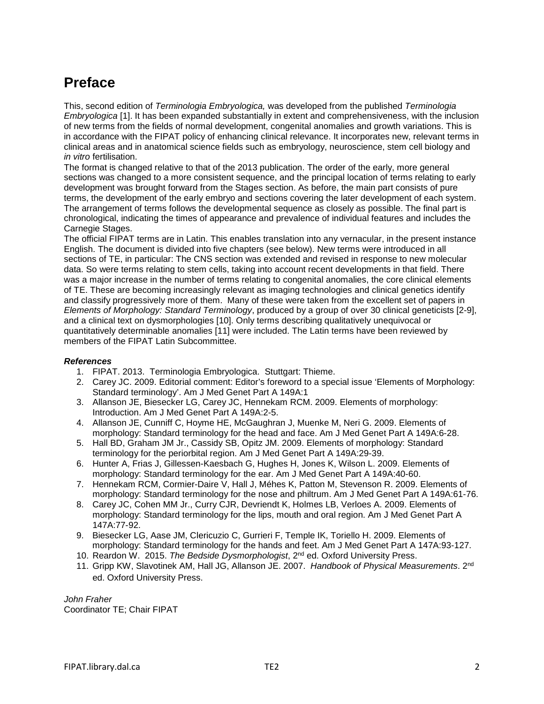## **Preface**

This, second edition of *Terminologia Embryologica,* was developed from the published *Terminologia Embryologica* [1]. It has been expanded substantially in extent and comprehensiveness, with the inclusion of new terms from the fields of normal development, congenital anomalies and growth variations. This is in accordance with the FIPAT policy of enhancing clinical relevance. It incorporates new, relevant terms in clinical areas and in anatomical science fields such as embryology, neuroscience, stem cell biology and *in vitro* fertilisation.

The format is changed relative to that of the 2013 publication. The order of the early, more general sections was changed to a more consistent sequence, and the principal location of terms relating to early development was brought forward from the Stages section. As before, the main part consists of pure terms, the development of the early embryo and sections covering the later development of each system. The arrangement of terms follows the developmental sequence as closely as possible. The final part is chronological, indicating the times of appearance and prevalence of individual features and includes the Carnegie Stages.

The official FIPAT terms are in Latin. This enables translation into any vernacular, in the present instance English. The document is divided into five chapters (see below). New terms were introduced in all sections of TE, in particular: The CNS section was extended and revised in response to new molecular data. So were terms relating to stem cells, taking into account recent developments in that field. There was a major increase in the number of terms relating to congenital anomalies, the core clinical elements of TE. These are becoming increasingly relevant as imaging technologies and clinical genetics identify and classify progressively more of them. Many of these were taken from the excellent set of papers in *Elements of Morphology: Standard Terminology*, produced by a group of over 30 clinical geneticists [2-9], and a clinical text on dysmorphologies [10]. Only terms describing qualitatively unequivocal or quantitatively determinable anomalies [11] were included. The Latin terms have been reviewed by members of the FIPAT Latin Subcommittee.

### *References*

- 1. FIPAT. 2013. Terminologia Embryologica. Stuttgart: Thieme.
- 2. Carey JC. 2009. Editorial comment: Editor's foreword to a special issue 'Elements of Morphology: Standard terminology'. Am J Med Genet Part A 149A:1
- 3. Allanson [JE,](http://www.ncbi.nlm.nih.gov/pubmed/?term=Allanson%20JE%5Bauth%5D) Biesecker LG, Carey JC, [Hennekam](http://www.ncbi.nlm.nih.gov/pubmed/?term=Hennekam%20RC%5Bauth%5D) RCM. 2009. Elements of morphology: Introduction. Am J Med Genet Part A 149A:2-5.
- 4. Allanson JE, Cunniff C, Hoyme HE, McGaughran J, Muenke M, Neri G. 2009. Elements of morphology: Standard terminology for the head and face. Am J Med Genet Part A 149A:6-28.
- 5. Hall BD, Graham JM Jr., Cassidy SB, Opitz JM. 2009. Elements of morphology: Standard terminology for the periorbital region. Am J Med Genet Part A 149A:29-39.
- 6. Hunter A, Frias J, Gillessen-Kaesbach G, Hughes H, Jones K, Wilson L. 2009. Elements of morphology: Standard terminology for the ear. Am J Med Genet Part A 149A:40-60.
- 7. Hennekam RCM, Cormier-Daire V, Hall J, Méhes K, Patton M, Stevenson R. 2009. Elements of morphology: Standard terminology for the nose and philtrum. Am J Med Genet Part A 149A:61-76.
- 8. Carey JC, Cohen MM Jr., Curry CJR, Devriendt K, Holmes LB, Verloes A. 2009. Elements of morphology: Standard terminology for the lips, mouth and oral region. Am J Med Genet Part A 147A:77-92.
- 9. Biesecker LG, Aase JM, Clericuzio C, Gurrieri F, Temple IK, Toriello H. 2009. Elements of morphology: Standard terminology for the hands and feet. Am J Med Genet Part A 147A:93-127.
- 10. Reardon W. 2015. *The Bedside Dysmorphologist*, 2nd ed. Oxford University Press.
- 11. Gripp KW, Slavotinek AM, Hall JG, Allanson JE. 2007. *Handbook of Physical Measurements*. 2nd ed. Oxford University Press.

*John Fraher*  Coordinator TE; Chair FIPAT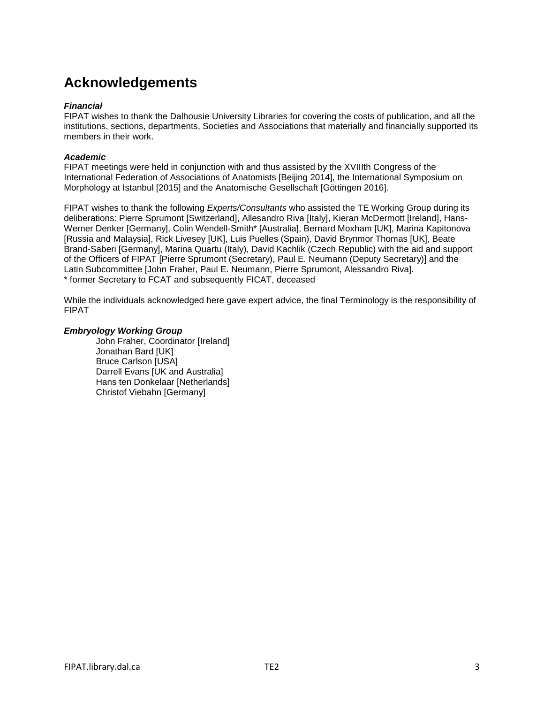## **Acknowledgements**

#### *Financial*

FIPAT wishes to thank the Dalhousie University Libraries for covering the costs of publication, and all the institutions, sections, departments, Societies and Associations that materially and financially supported its members in their work.

### *Academic*

FIPAT meetings were held in conjunction with and thus assisted by the XVIIIth Congress of the International Federation of Associations of Anatomists [Beijing 2014], the International Symposium on Morphology at Istanbul [2015] and the Anatomische Gesellschaft [Göttingen 2016].

FIPAT wishes to thank the following *Experts/Consultants* who assisted the TE Working Group during its deliberations: Pierre Sprumont [Switzerland], Allesandro Riva [Italy], Kieran McDermott [Ireland], Hans-Werner Denker [Germany], Colin Wendell-Smith\* [Australia], Bernard Moxham [UK], Marina Kapitonova [Russia and Malaysia], Rick Livesey [UK], Luis Puelles (Spain), David Brynmor Thomas [UK], Beate Brand-Saberi [Germany], Marina Quartu (Italy), David Kachlik (Czech Republic) with the aid and support of the Officers of FIPAT [Pierre Sprumont (Secretary), Paul E. Neumann (Deputy Secretary)] and the Latin Subcommittee [John Fraher, Paul E. Neumann, Pierre Sprumont, Alessandro Riva]. \* former Secretary to FCAT and subsequently FICAT, deceased

While the individuals acknowledged here gave expert advice, the final Terminology is the responsibility of FIPAT

### *Embryology Working Group*

John Fraher, Coordinator [Ireland] Jonathan Bard [UK] Bruce Carlson [USA] Darrell Evans [UK and Australia] Hans ten Donkelaar [Netherlands] Christof Viebahn [Germany]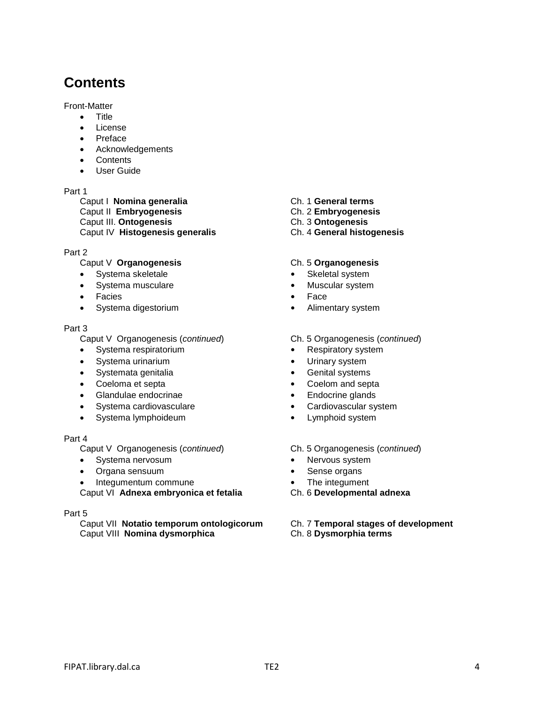## **Contents**

Front-Matter

- Title
- License
- Preface
- Acknowledgements
- **Contents**
- User Guide

#### Part 1

Caput I **Nomina generalia** Ch. 1 **General terms** Caput II **Embryogenesis** Ch. 2 **Embryogenesis Caput III. Ontogenesis** Caput IV **Histogenesis generalis** Ch. 4 **General histogenesis**

### Part 2

# Caput V **Organogenesis**<br>
• Systema skeletale **Ch. 5 Organogenesis**<br>
• Skeletal system

- Systema skeletale
- Systema musculare **•** Muscular system
- Facies **•** Face
- 

#### Part 3

Caput V Organogenesis (*continued*) Ch. 5 Organogenesis (*continued*)

- Systema respiratorium **•** Respiratory system
- Systema urinarium **•** Urinary system
- Systemata genitalia **•** Genital systems
- 
- 
- Glandulae endocrinae **•** Endocrine glands • Systema cardiovasculare
- Systema lymphoideum **•** Lymphoid system

#### Part 4

Caput V Organogenesis (*continued*) Ch. 5 Organogenesis (*continued*)

- Systema nervosum **•** Nervous system
- Organa sensuum **•** Sense organs
- Integumentum commune **•** The integument

Caput VI **Adnexa embryonica et fetalia** Ch. 6 **Developmental adnexa**

#### Part 5

Caput VII **Notatio temporum ontologicorum** Ch. 7 **Temporal stages of development Caput VIII Nomina dysmorphica** 

- 
- 
- 

- 
- 
- 
- Systema digestorium **•** Alimentary system

- 
- 
- 
- Coeloma et septa **•** Coelom and septa
	-
	-
	-

- 
- 
- 
-